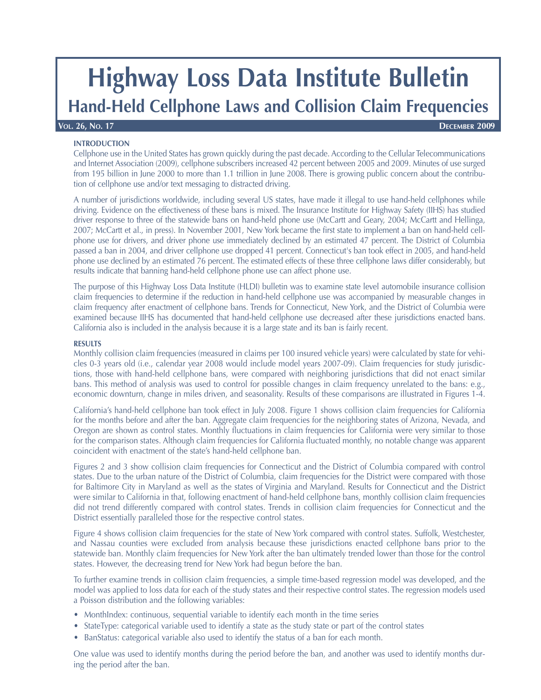# **Highway Loss Data Institute Bulletin**

## **Hand-Held Cellphone Laws and Collision Claim Frequencies**

#### **INTRODUCTION**

Cellphone use in the United States has grown quickly during the past decade. According to the Cellular Telecommunications and Internet Association (2009), cellphone subscribers increased 42 percent between 2005 and 2009. Minutes of use surged

from 195 billion in June 2000 to more than 1.1 trillion in June 2008. There is growing public concern about the contribution of cellphone use and/or text messaging to distracted driving.

A number of jurisdictions worldwide, including several US states, have made it illegal to use hand-held cellphones while driving. Evidence on the effectiveness of these bans is mixed. The Insurance Institute for Highway Safety (IIHS) has studied driver response to three of the statewide bans on hand-held phone use (McCartt and Geary, 2004; McCartt and Hellinga, 2007; McCartt et al., in press). In November 2001, New York became the first state to implement a ban on hand-held cellphone use for drivers, and driver phone use immediately declined by an estimated 47 percent. The District of Columbia passed a ban in 2004, and driver cellphone use dropped 41 percent. Connecticut's ban took effect in 2005, and hand-held phone use declined by an estimated 76 percent. The estimated effects of these three cellphone laws differ considerably, but results indicate that banning hand-held cellphone phone use can affect phone use.

The purpose of this Highway Loss Data Institute (HLDI) bulletin was to examine state level automobile insurance collision claim frequencies to determine if the reduction in hand-held cellphone use was accompanied by measurable changes in claim frequency after enactment of cellphone bans. Trends for Connecticut, New York, and the District of Columbia were examined because IIHS has documented that hand-held cellphone use decreased after these jurisdictions enacted bans. California also is included in the analysis because it is a large state and its ban is fairly recent.

### **RESULTS**

Monthly collision claim frequencies (measured in claims per 100 insured vehicle years) were calculated by state for vehicles 0-3 years old (i.e., calendar year 2008 would include model years 2007-09). Claim frequencies for study jurisdictions, those with hand-held cellphone bans, were compared with neighboring jurisdictions that did not enact similar bans. This method of analysis was used to control for possible changes in claim frequency unrelated to the bans: e.g., economic downturn, change in miles driven, and seasonality. Results of these comparisons are illustrated in Figures 1-4.

California's hand-held cellphone ban took effect in July 2008. Figure 1 shows collision claim frequencies for California for the months before and after the ban. Aggregate claim frequencies for the neighboring states of Arizona, Nevada, and Oregon are shown as control states. Monthly fluctuations in claim frequencies for California were very similar to those for the comparison states. Although claim frequencies for California fluctuated monthly, no notable change was apparent coincident with enactment of the state's hand-held cellphone ban.

Figures 2 and 3 show collision claim frequencies for Connecticut and the District of Columbia compared with control states. Due to the urban nature of the District of Columbia, claim frequencies for the District were compared with those for Baltimore City in Maryland as well as the states of Virginia and Maryland. Results for Connecticut and the District were similar to California in that, following enactment of hand-held cellphone bans, monthly collision claim frequencies did not trend differently compared with control states. Trends in collision claim frequencies for Connecticut and the District essentially paralleled those for the respective control states.

Figure 4 shows collision claim frequencies for the state of New York compared with control states. Suffolk, Westchester, and Nassau counties were excluded from analysis because these jurisdictions enacted cellphone bans prior to the statewide ban. Monthly claim frequencies for New York after the ban ultimately trended lower than those for the control states. However, the decreasing trend for New York had begun before the ban.

To further examine trends in collision claim frequencies, a simple time-based regression model was developed, and the model was applied to loss data for each of the study states and their respective control states. The regression models used a Poisson distribution and the following variables:

- MonthIndex: continuous, sequential variable to identify each month in the time series
- StateType: categorical variable used to identify a state as the study state or part of the control states
- BanStatus: categorical variable also used to identify the status of a ban for each month.

One value was used to identify months during the period before the ban, and another was used to identify months during the period after the ban.

**VOL. 26, NO. 17 DECEMBER 2009**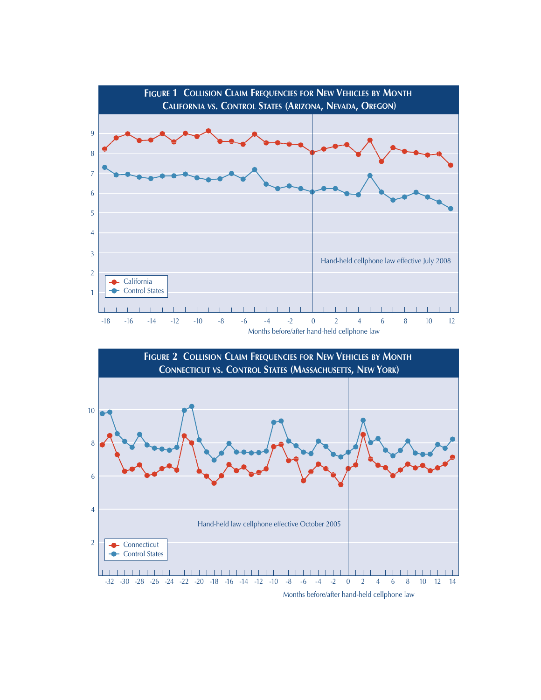



Months before/after hand-held cellphone law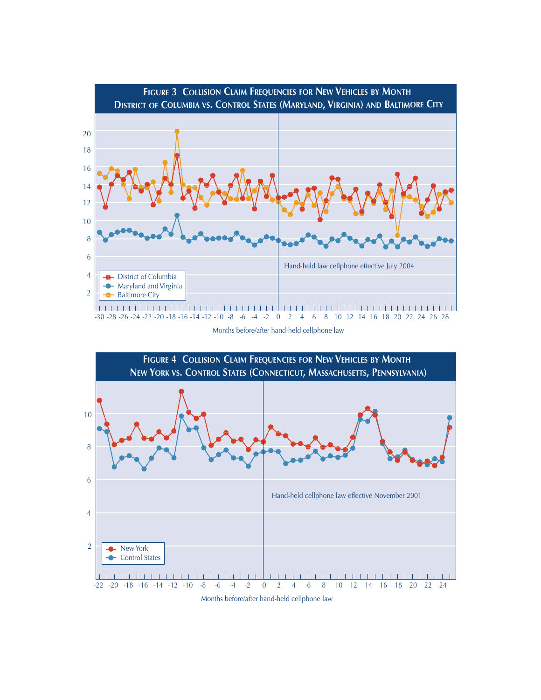

Months before/after hand-held cellphone law



Months before/after hand-held cellphone law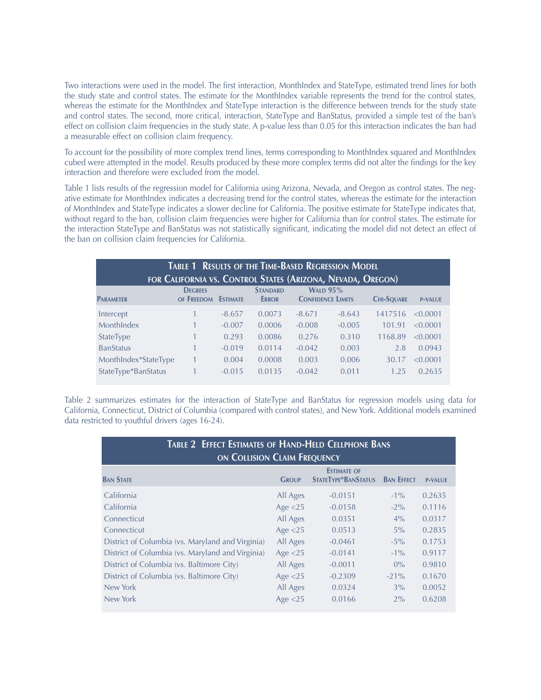Two interactions were used in the model. The first interaction, MonthIndex and StateType, estimated trend lines for both the study state and control states. The estimate for the MonthIndex variable represents the trend for the control states, whereas the estimate for the MonthIndex and StateType interaction is the difference between trends for the study state and control states. The second, more critical, interaction, StateType and BanStatus, provided a simple test of the ban's effect on collision claim frequencies in the study state. A p-value less than 0.05 for this interaction indicates the ban had a measurable effect on collision claim frequency.

To account for the possibility of more complex trend lines, terms corresponding to MonthIndex squared and MonthIndex cubed were attempted in the model. Results produced by these more complex terms did not alter the findings for the key interaction and therefore were excluded from the model.

Table 1 lists results of the regression model for California using Arizona, Nevada, and Oregon as control states. The negative estimate for MonthIndex indicates a decreasing trend for the control states, whereas the estimate for the interaction of MonthIndex and StateType indicates a slower decline for California. The positive estimate for StateType indicates that, without regard to the ban, collision claim frequencies were higher for California than for control states. The estimate for the interaction StateType and BanStatus was not statistically significant, indicating the model did not detect an effect of the ban on collision claim frequencies for California.

| <b>TABLE 1 RESULTS OF THE TIME-BASED REGRESSION MODEL</b><br>FOR CALIFORNIA VS. CONTROL STATES (ARIZONA, NEVADA, OREGON) |                              |                 |                                 |          |                                             |                   |                |  |  |  |
|--------------------------------------------------------------------------------------------------------------------------|------------------------------|-----------------|---------------------------------|----------|---------------------------------------------|-------------------|----------------|--|--|--|
| <b>PARAMETER</b>                                                                                                         | <b>DEGREES</b><br>OF FREEDOM | <b>ESTIMATE</b> | <b>STANDARD</b><br><b>ERROR</b> |          | <b>WALD 95%</b><br><b>CONFIDENCE LIMITS</b> | <b>CHI-SQUARE</b> | <b>P-VALUE</b> |  |  |  |
| Intercept                                                                                                                |                              | $-8.657$        | 0.0073                          | $-8.671$ | $-8.643$                                    | 1417516           | < 0.0001       |  |  |  |
| MonthIndex                                                                                                               |                              | $-0.007$        | 0.0006                          | $-0.008$ | $-0.005$                                    | 101.91            | < 0.0001       |  |  |  |
| StateType                                                                                                                |                              | 0.293           | 0.0086                          | 0.276    | 0.310                                       | 1168.89           | < 0.0001       |  |  |  |
| <b>BanStatus</b>                                                                                                         |                              | $-0.019$        | 0.0114                          | $-0.042$ | 0.003                                       | 2.8               | 0.0943         |  |  |  |
| MonthIndex*StateType                                                                                                     |                              | 0.004           | 0.0008                          | 0.003    | 0.006                                       | 30.17             | < 0.0001       |  |  |  |
| StateType*BanStatus                                                                                                      |                              | $-0.015$        | 0.0135                          | $-0.042$ | 0.011                                       | 1.25              | 0.2635         |  |  |  |

Table 2 summarizes estimates for the interaction of StateType and BanStatus for regression models using data for California, Connecticut, District of Columbia (compared with control states), and New York. Additional models examined data restricted to youthful drivers (ages 16-24).

| <b>TABLE 2 EFFECT ESTIMATES OF HAND-HELD CELLPHONE BANS</b><br>ON COLLISION CLAIM FREQUENCY |              |                                                  |                   |                |  |  |  |  |  |
|---------------------------------------------------------------------------------------------|--------------|--------------------------------------------------|-------------------|----------------|--|--|--|--|--|
| <b>BAN STATE</b>                                                                            | <b>GROUP</b> | <b>ESTIMATE OF</b><br><b>STATETYPE*BANSTATUS</b> | <b>BAN EFFECT</b> | <b>P-VALUE</b> |  |  |  |  |  |
| California                                                                                  | All Ages     | $-0.0151$                                        | $-1\%$            | 0.2635         |  |  |  |  |  |
| California                                                                                  | Age $<$ 25   | $-0.0158$                                        | $-2\%$            | 0.1116         |  |  |  |  |  |
| Connecticut                                                                                 | All Ages     | 0.0351                                           | $4\%$             | 0.0317         |  |  |  |  |  |
| Connecticut                                                                                 | Age $<$ 25   | 0.0513                                           | $5\%$             | 0.2835         |  |  |  |  |  |
| District of Columbia (vs. Maryland and Virginia)                                            | All Ages     | $-0.0461$                                        | $-5\%$            | 0.1753         |  |  |  |  |  |
| District of Columbia (vs. Maryland and Virginia)                                            | Age $<$ 25   | $-0.0141$                                        | $-1\%$            | 0.9117         |  |  |  |  |  |
| District of Columbia (vs. Baltimore City)                                                   | All Ages     | $-0.0011$                                        | $0\%$             | 0.9810         |  |  |  |  |  |
| District of Columbia (vs. Baltimore City)                                                   | Age $<$ 25   | $-0.2309$                                        | $-21\%$           | 0.1670         |  |  |  |  |  |
| New York                                                                                    | All Ages     | 0.0324                                           | 3%                | 0.0052         |  |  |  |  |  |
| New York                                                                                    | Age $<$ 25   | 0.0166                                           | $2\%$             | 0.6208         |  |  |  |  |  |